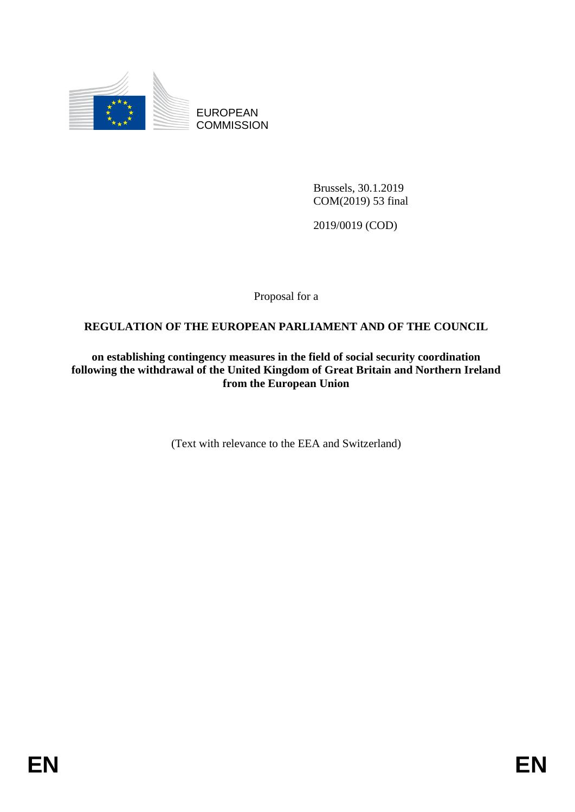

EUROPEAN **COMMISSION** 

> Brussels, 30.1.2019 COM(2019) 53 final

2019/0019 (COD)

Proposal for a

# **REGULATION OF THE EUROPEAN PARLIAMENT AND OF THE COUNCIL**

**on establishing contingency measures in the field of social security coordination following the withdrawal of the United Kingdom of Great Britain and Northern Ireland from the European Union**

(Text with relevance to the EEA and Switzerland)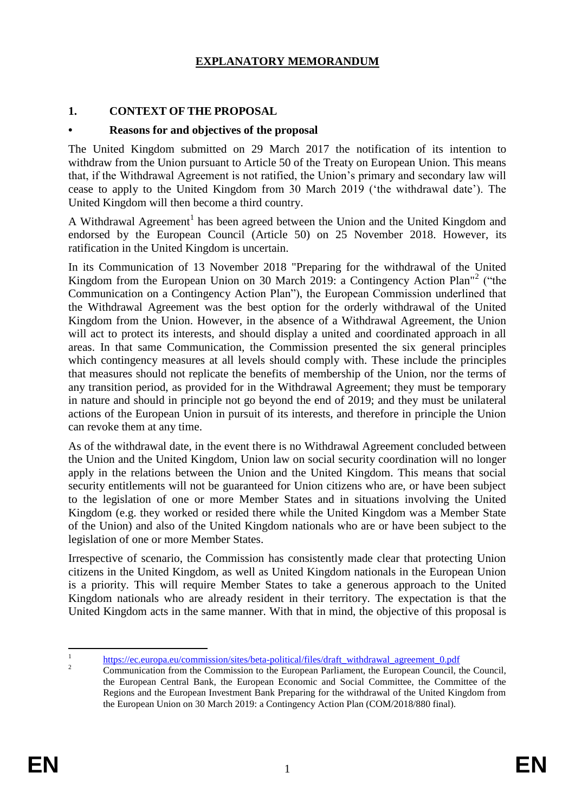# **EXPLANATORY MEMORANDUM**

# **1. CONTEXT OF THE PROPOSAL**

### **• Reasons for and objectives of the proposal**

The United Kingdom submitted on 29 March 2017 the notification of its intention to withdraw from the Union pursuant to Article 50 of the Treaty on European Union. This means that, if the Withdrawal Agreement is not ratified, the Union's primary and secondary law will cease to apply to the United Kingdom from 30 March 2019 ('the withdrawal date'). The United Kingdom will then become a third country.

A Withdrawal Agreement<sup>1</sup> has been agreed between the Union and the United Kingdom and endorsed by the European Council (Article 50) on 25 November 2018. However, its ratification in the United Kingdom is uncertain.

In its Communication of 13 November 2018 "Preparing for the withdrawal of the United Kingdom from the European Union on 30 March 2019: a Contingency Action Plan"<sup>2</sup> ("the Communication on a Contingency Action Plan"), the European Commission underlined that the Withdrawal Agreement was the best option for the orderly withdrawal of the United Kingdom from the Union. However, in the absence of a Withdrawal Agreement, the Union will act to protect its interests, and should display a united and coordinated approach in all areas. In that same Communication, the Commission presented the six general principles which contingency measures at all levels should comply with. These include the principles that measures should not replicate the benefits of membership of the Union, nor the terms of any transition period, as provided for in the Withdrawal Agreement; they must be temporary in nature and should in principle not go beyond the end of 2019; and they must be unilateral actions of the European Union in pursuit of its interests, and therefore in principle the Union can revoke them at any time.

As of the withdrawal date, in the event there is no Withdrawal Agreement concluded between the Union and the United Kingdom, Union law on social security coordination will no longer apply in the relations between the Union and the United Kingdom. This means that social security entitlements will not be guaranteed for Union citizens who are, or have been subject to the legislation of one or more Member States and in situations involving the United Kingdom (e.g. they worked or resided there while the United Kingdom was a Member State of the Union) and also of the United Kingdom nationals who are or have been subject to the legislation of one or more Member States.

Irrespective of scenario, the Commission has consistently made clear that protecting Union citizens in the United Kingdom, as well as United Kingdom nationals in the European Union is a priority. This will require Member States to take a generous approach to the United Kingdom nationals who are already resident in their territory. The expectation is that the United Kingdom acts in the same manner. With that in mind, the objective of this proposal is

 $\frac{1}{1}$ [https://ec.europa.eu/commission/sites/beta-political/files/draft\\_withdrawal\\_agreement\\_0.pdf](https://ec.europa.eu/commission/sites/beta-political/files/draft_withdrawal_agreement_0.pdf)

<sup>&</sup>lt;sup>2</sup> Communication from the Commission to the European Parliament, the European Council, the Council, the European Central Bank, the European Economic and Social Committee, the Committee of the Regions and the European Investment Bank Preparing for the withdrawal of the United Kingdom from the European Union on 30 March 2019: a Contingency Action Plan (COM/2018/880 final).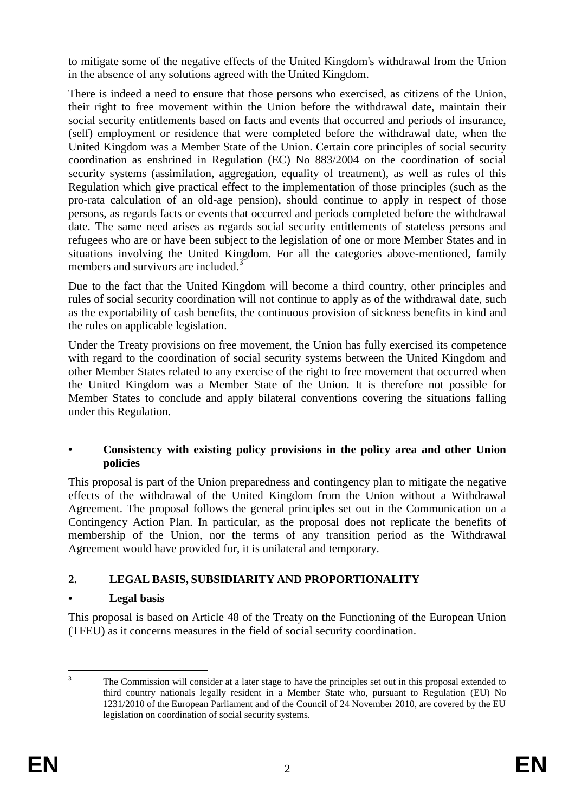to mitigate some of the negative effects of the United Kingdom's withdrawal from the Union in the absence of any solutions agreed with the United Kingdom.

There is indeed a need to ensure that those persons who exercised, as citizens of the Union, their right to free movement within the Union before the withdrawal date, maintain their social security entitlements based on facts and events that occurred and periods of insurance, (self) employment or residence that were completed before the withdrawal date, when the United Kingdom was a Member State of the Union. Certain core principles of social security coordination as enshrined in Regulation (EC) No 883/2004 on the coordination of social security systems (assimilation, aggregation, equality of treatment), as well as rules of this Regulation which give practical effect to the implementation of those principles (such as the pro-rata calculation of an old-age pension), should continue to apply in respect of those persons, as regards facts or events that occurred and periods completed before the withdrawal date. The same need arises as regards social security entitlements of stateless persons and refugees who are or have been subject to the legislation of one or more Member States and in situations involving the United Kingdom. For all the categories above-mentioned, family members and survivors are included.<sup>3</sup>

Due to the fact that the United Kingdom will become a third country, other principles and rules of social security coordination will not continue to apply as of the withdrawal date, such as the exportability of cash benefits, the continuous provision of sickness benefits in kind and the rules on applicable legislation.

Under the Treaty provisions on free movement, the Union has fully exercised its competence with regard to the coordination of social security systems between the United Kingdom and other Member States related to any exercise of the right to free movement that occurred when the United Kingdom was a Member State of the Union. It is therefore not possible for Member States to conclude and apply bilateral conventions covering the situations falling under this Regulation.

# **• Consistency with existing policy provisions in the policy area and other Union policies**

This proposal is part of the Union preparedness and contingency plan to mitigate the negative effects of the withdrawal of the United Kingdom from the Union without a Withdrawal Agreement. The proposal follows the general principles set out in the Communication on a Contingency Action Plan. In particular, as the proposal does not replicate the benefits of membership of the Union, nor the terms of any transition period as the Withdrawal Agreement would have provided for, it is unilateral and temporary.

# **2. LEGAL BASIS, SUBSIDIARITY AND PROPORTIONALITY**

# **• Legal basis**

This proposal is based on Article 48 of the Treaty on the Functioning of the European Union (TFEU) as it concerns measures in the field of social security coordination.

 $\overline{a}$ <sup>3</sup> The Commission will consider at a later stage to have the principles set out in this proposal extended to third country nationals legally resident in a Member State who, pursuant to Regulation (EU) No 1231/2010 of the European Parliament and of the Council of 24 November 2010, are covered by the EU legislation on coordination of social security systems.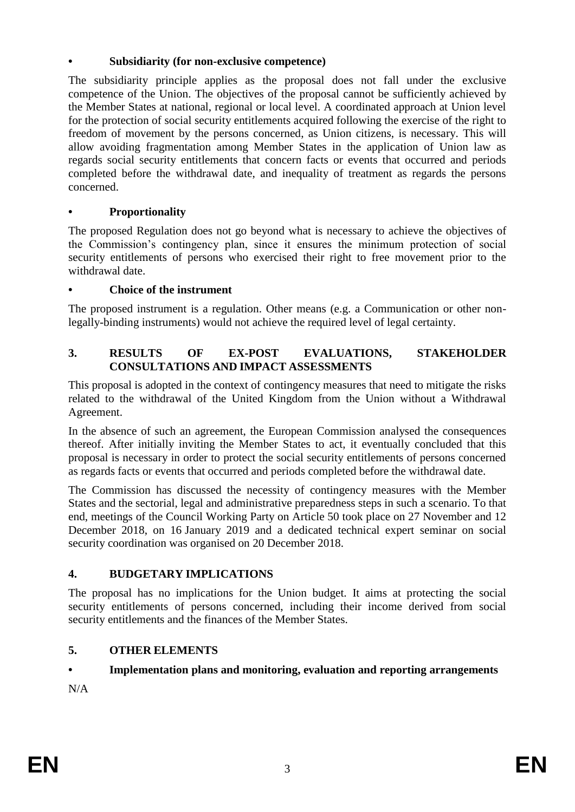# **• Subsidiarity (for non-exclusive competence)**

The subsidiarity principle applies as the proposal does not fall under the exclusive competence of the Union. The objectives of the proposal cannot be sufficiently achieved by the Member States at national, regional or local level. A coordinated approach at Union level for the protection of social security entitlements acquired following the exercise of the right to freedom of movement by the persons concerned, as Union citizens, is necessary. This will allow avoiding fragmentation among Member States in the application of Union law as regards social security entitlements that concern facts or events that occurred and periods completed before the withdrawal date, and inequality of treatment as regards the persons concerned.

# **• Proportionality**

The proposed Regulation does not go beyond what is necessary to achieve the objectives of the Commission's contingency plan, since it ensures the minimum protection of social security entitlements of persons who exercised their right to free movement prior to the withdrawal date.

# **• Choice of the instrument**

The proposed instrument is a regulation. Other means (e.g. a Communication or other nonlegally-binding instruments) would not achieve the required level of legal certainty.

# **3. RESULTS OF EX-POST EVALUATIONS, STAKEHOLDER CONSULTATIONS AND IMPACT ASSESSMENTS**

This proposal is adopted in the context of contingency measures that need to mitigate the risks related to the withdrawal of the United Kingdom from the Union without a Withdrawal Agreement.

In the absence of such an agreement, the European Commission analysed the consequences thereof. After initially inviting the Member States to act, it eventually concluded that this proposal is necessary in order to protect the social security entitlements of persons concerned as regards facts or events that occurred and periods completed before the withdrawal date.

The Commission has discussed the necessity of contingency measures with the Member States and the sectorial, legal and administrative preparedness steps in such a scenario. To that end, meetings of the Council Working Party on Article 50 took place on 27 November and 12 December 2018, on 16 January 2019 and a dedicated technical expert seminar on social security coordination was organised on 20 December 2018.

# **4. BUDGETARY IMPLICATIONS**

The proposal has no implications for the Union budget. It aims at protecting the social security entitlements of persons concerned, including their income derived from social security entitlements and the finances of the Member States.

# **5. OTHER ELEMENTS**

# **• Implementation plans and monitoring, evaluation and reporting arrangements**

N/A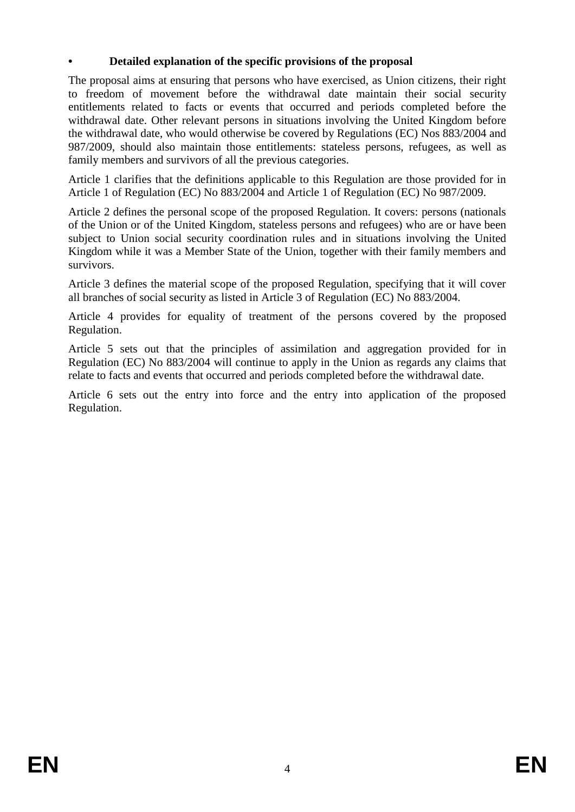# **• Detailed explanation of the specific provisions of the proposal**

The proposal aims at ensuring that persons who have exercised, as Union citizens, their right to freedom of movement before the withdrawal date maintain their social security entitlements related to facts or events that occurred and periods completed before the withdrawal date. Other relevant persons in situations involving the United Kingdom before the withdrawal date, who would otherwise be covered by Regulations (EC) Nos 883/2004 and 987/2009, should also maintain those entitlements: stateless persons, refugees, as well as family members and survivors of all the previous categories.

Article 1 clarifies that the definitions applicable to this Regulation are those provided for in Article 1 of Regulation (EC) No 883/2004 and Article 1 of Regulation (EC) No 987/2009.

Article 2 defines the personal scope of the proposed Regulation. It covers: persons (nationals of the Union or of the United Kingdom, stateless persons and refugees) who are or have been subject to Union social security coordination rules and in situations involving the United Kingdom while it was a Member State of the Union, together with their family members and survivors.

Article 3 defines the material scope of the proposed Regulation, specifying that it will cover all branches of social security as listed in Article 3 of Regulation (EC) No 883/2004.

Article 4 provides for equality of treatment of the persons covered by the proposed Regulation.

Article 5 sets out that the principles of assimilation and aggregation provided for in Regulation (EC) No 883/2004 will continue to apply in the Union as regards any claims that relate to facts and events that occurred and periods completed before the withdrawal date.

Article 6 sets out the entry into force and the entry into application of the proposed Regulation.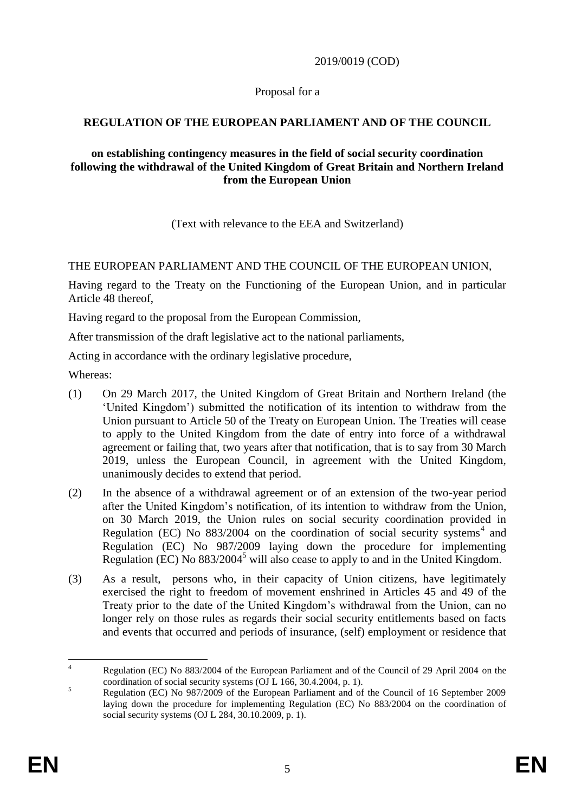### 2019/0019 (COD)

#### Proposal for a

### **REGULATION OF THE EUROPEAN PARLIAMENT AND OF THE COUNCIL**

#### **on establishing contingency measures in the field of social security coordination following the withdrawal of the United Kingdom of Great Britain and Northern Ireland from the European Union**

(Text with relevance to the EEA and Switzerland)

#### THE EUROPEAN PARLIAMENT AND THE COUNCIL OF THE EUROPEAN UNION,

Having regard to the Treaty on the Functioning of the European Union, and in particular Article 48 thereof,

Having regard to the proposal from the European Commission,

After transmission of the draft legislative act to the national parliaments,

Acting in accordance with the ordinary legislative procedure,

Whereas:

- (1) On 29 March 2017, the United Kingdom of Great Britain and Northern Ireland (the 'United Kingdom') submitted the notification of its intention to withdraw from the Union pursuant to Article 50 of the Treaty on European Union. The Treaties will cease to apply to the United Kingdom from the date of entry into force of a withdrawal agreement or failing that, two years after that notification, that is to say from 30 March 2019, unless the European Council, in agreement with the United Kingdom, unanimously decides to extend that period.
- (2) In the absence of a withdrawal agreement or of an extension of the two-year period after the United Kingdom's notification, of its intention to withdraw from the Union, on 30 March 2019, the Union rules on social security coordination provided in Regulation (EC) No  $883/2004$  on the coordination of social security systems<sup>4</sup> and Regulation (EC) No 987/2009 laying down the procedure for implementing Regulation (EC) No  $883/2004^5$  will also cease to apply to and in the United Kingdom.
- (3) As a result, persons who, in their capacity of Union citizens, have legitimately exercised the right to freedom of movement enshrined in Articles 45 and 49 of the Treaty prior to the date of the United Kingdom's withdrawal from the Union, can no longer rely on those rules as regards their social security entitlements based on facts and events that occurred and periods of insurance, (self) employment or residence that

 $\overline{A}$ <sup>4</sup> Regulation (EC) No 883/2004 of the European Parliament and of the Council of 29 April 2004 on the coordination of social security systems (OJ L 166, 30.4.2004, p. 1).

<sup>&</sup>lt;sup>5</sup><br>Regulation (EC) No 987/2009 of the European Parliament and of the Council of 16 September 2009 laying down the procedure for implementing Regulation (EC) No 883/2004 on the coordination of social security systems (OJ L 284, 30.10.2009, p. 1).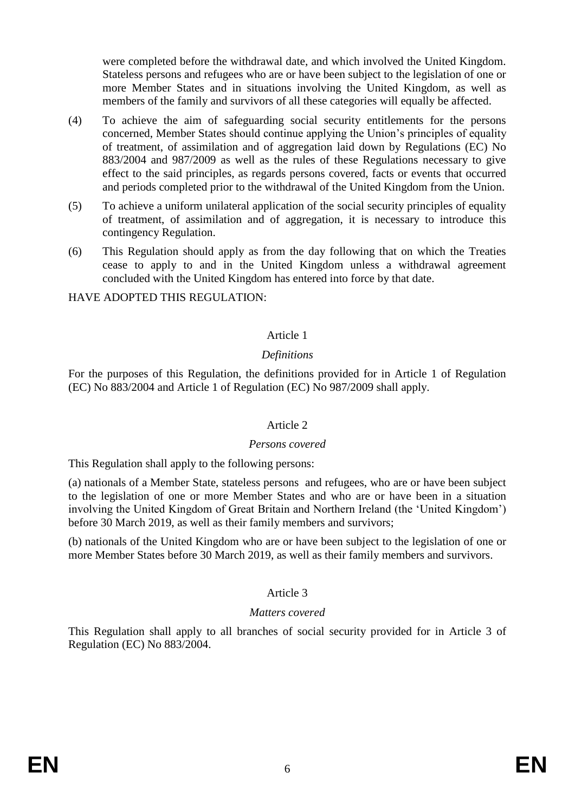were completed before the withdrawal date, and which involved the United Kingdom. Stateless persons and refugees who are or have been subject to the legislation of one or more Member States and in situations involving the United Kingdom, as well as members of the family and survivors of all these categories will equally be affected.

- (4) To achieve the aim of safeguarding social security entitlements for the persons concerned, Member States should continue applying the Union's principles of equality of treatment, of assimilation and of aggregation laid down by Regulations (EC) No 883/2004 and 987/2009 as well as the rules of these Regulations necessary to give effect to the said principles, as regards persons covered, facts or events that occurred and periods completed prior to the withdrawal of the United Kingdom from the Union.
- (5) To achieve a uniform unilateral application of the social security principles of equality of treatment, of assimilation and of aggregation, it is necessary to introduce this contingency Regulation.
- (6) This Regulation should apply as from the day following that on which the Treaties cease to apply to and in the United Kingdom unless a withdrawal agreement concluded with the United Kingdom has entered into force by that date.

HAVE ADOPTED THIS REGULATION:

### Article 1

#### *Definitions*

For the purposes of this Regulation, the definitions provided for in Article 1 of Regulation (EC) No 883/2004 and Article 1 of Regulation (EC) No 987/2009 shall apply.

#### Article 2

#### *Persons covered*

This Regulation shall apply to the following persons:

(a) nationals of a Member State, stateless persons and refugees, who are or have been subject to the legislation of one or more Member States and who are or have been in a situation involving the United Kingdom of Great Britain and Northern Ireland (the 'United Kingdom') before 30 March 2019, as well as their family members and survivors;

(b) nationals of the United Kingdom who are or have been subject to the legislation of one or more Member States before 30 March 2019, as well as their family members and survivors.

#### Article 3

#### *Matters covered*

This Regulation shall apply to all branches of social security provided for in Article 3 of Regulation (EC) No 883/2004.